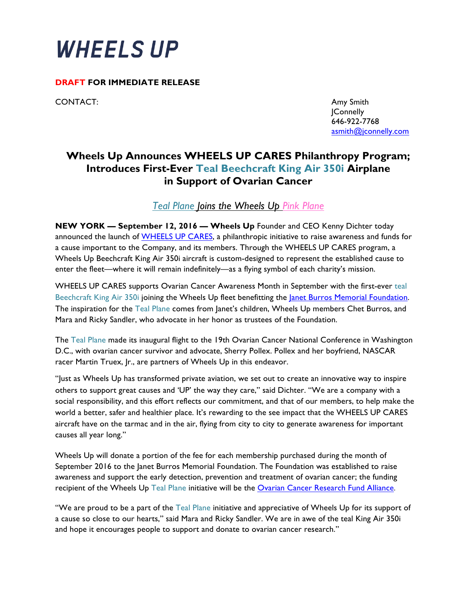

## **DRAFT FOR IMMEDIATE RELEASE**

CONTACT: SAND THE SERVICE OF THE SERVICE OF THE SERVICE OF THE SERVICE OF THE SERVICE OF THE SERVICE OF THE SERVICE OF THE SERVICE OF THE SERVICE OF THE SERVICE OF THE SERVICE OF THE SERVICE OF THE SERVICE OF THE SERVICE O

JConnelly 646-922-7768 asmith@jconnelly.com

## **Wheels Up Announces WHEELS UP CARES Philanthropy Program; Introduces First-Ever Teal Beechcraft King Air 350i Airplane in Support of Ovarian Cancer**

*Teal Plane Joins the Wheels Up Pink Plane* 

**NEW YORK — September 12, 2016 — Wheels Up** Founder and CEO Kenny Dichter today announced the launch of **WHEELS UP CARES**, a philanthropic initiative to raise awareness and funds for a cause important to the Company, and its members. Through the WHEELS UP CARES program, a Wheels Up Beechcraft King Air 350i aircraft is custom-designed to represent the established cause to enter the fleet—where it will remain indefinitely—as a flying symbol of each charity's mission.

WHEELS UP CARES supports Ovarian Cancer Awareness Month in September with the first-ever teal Beechcraft King Air 350i joining the Wheels Up fleet benefitting the Janet Burros Memorial Foundation. The inspiration for the Teal Plane comes from Janet's children, Wheels Up members Chet Burros, and Mara and Ricky Sandler, who advocate in her honor as trustees of the Foundation.

The Teal Plane made its inaugural flight to the 19th Ovarian Cancer National Conference in Washington D.C., with ovarian cancer survivor and advocate, Sherry Pollex. Pollex and her boyfriend, NASCAR racer Martin Truex, Jr., are partners of Wheels Up in this endeavor.

"Just as Wheels Up has transformed private aviation, we set out to create an innovative way to inspire others to support great causes and 'UP' the way they care," said Dichter. "We are a company with a social responsibility, and this effort reflects our commitment, and that of our members, to help make the world a better, safer and healthier place. It's rewarding to the see impact that the WHEELS UP CARES aircraft have on the tarmac and in the air, flying from city to city to generate awareness for important causes all year long."

Wheels Up will donate a portion of the fee for each membership purchased during the month of September 2016 to the Janet Burros Memorial Foundation. The Foundation was established to raise awareness and support the early detection, prevention and treatment of ovarian cancer; the funding recipient of the Wheels Up Teal Plane initiative will be the Ovarian Cancer Research Fund Alliance.

"We are proud to be a part of the Teal Plane initiative and appreciative of Wheels Up for its support of a cause so close to our hearts," said Mara and Ricky Sandler. We are in awe of the teal King Air 350i and hope it encourages people to support and donate to ovarian cancer research."